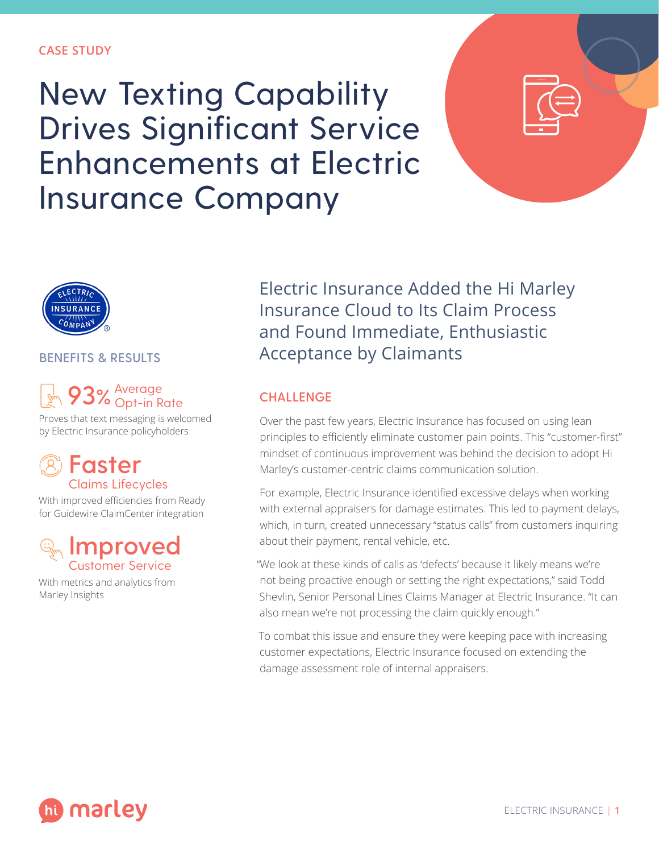#### **CASE STUDY**

# New Texting Capability Drives Significant Service Enhancements at Electric Insurance Company



#### **BENEFITS & RESULTS**

## **93%** Average Rate

Proves that text messaging is welcomed by Electric Insurance policyholders

### Claims Lifecycles **Faster**

With improved efficiencies from Ready for Guidewire ClaimCenter integration



With metrics and analytics from Marley Insights

Electric Insurance Added the Hi Marley Insurance Cloud to Its Claim Process and Found Immediate, Enthusiastic Acceptance by Claimants

#### **CHALLENGE**

Over the past few years, Electric Insurance has focused on using lean principles to efficiently eliminate customer pain points. This "customer-first" mindset of continuous improvement was behind the decision to adopt Hi Marley's customer-centric claims communication solution.

For example, Electric Insurance identified excessive delays when working with external appraisers for damage estimates. This led to payment delays, which, in turn, created unnecessary "status calls" from customers inquiring about their payment, rental vehicle, etc.

"We look at these kinds of calls as 'defects' because it likely means we're not being proactive enough or setting the right expectations," said Todd Shevlin, Senior Personal Lines Claims Manager at Electric Insurance. "It can also mean we're not processing the claim quickly enough."

To combat this issue and ensure they were keeping pace with increasing customer expectations, Electric Insurance focused on extending the damage assessment role of internal appraisers.

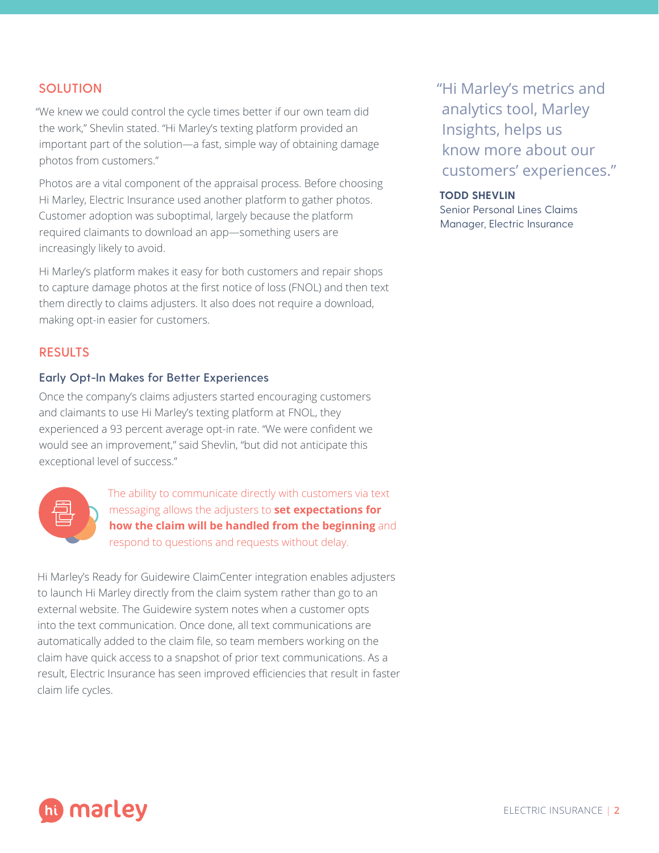#### **SOLUTION**

"We knew we could control the cycle times better if our own team did the work," Shevlin stated. "Hi Marley's texting platform provided an important part of the solution—a fast, simple way of obtaining damage photos from customers."

Photos are a vital component of the appraisal process. Before choosing Hi Marley, Electric Insurance used another platform to gather photos. Customer adoption was suboptimal, largely because the platform required claimants to download an app—something users are increasingly likely to avoid.

Hi Marley's platform makes it easy for both customers and repair shops to capture damage photos at the first notice of loss (FNOL) and then text them directly to claims adjusters. It also does not require a download, making opt-in easier for customers.

#### **RESULTS**

#### **Early Opt-In Makes for Better Experiences**

Once the company's claims adjusters started encouraging customers and claimants to use Hi Marley's texting platform at FNOL, they experienced a 93 percent average opt-in rate. "We were confident we would see an improvement," said Shevlin, "but did not anticipate this exceptional level of success."



The ability to communicate directly with customers via text messaging allows the adjusters to **set expectations for how the claim will be handled from the beginning** and respond to questions and requests without delay.

Hi Marley's Ready for Guidewire ClaimCenter integration enables adjusters to launch Hi Marley directly from the claim system rather than go to an external website. The Guidewire system notes when a customer opts into the text communication. Once done, all text communications are automatically added to the claim file, so team members working on the claim have quick access to a snapshot of prior text communications. As a result, Electric Insurance has seen improved efficiencies that result in faster claim life cycles.

"Hi Marley's metrics and analytics tool, Marley Insights, helps us know more about our customers' experiences."

#### **TODD SHEVLIN**

Senior Personal Lines Claims Manager, Electric Insurance

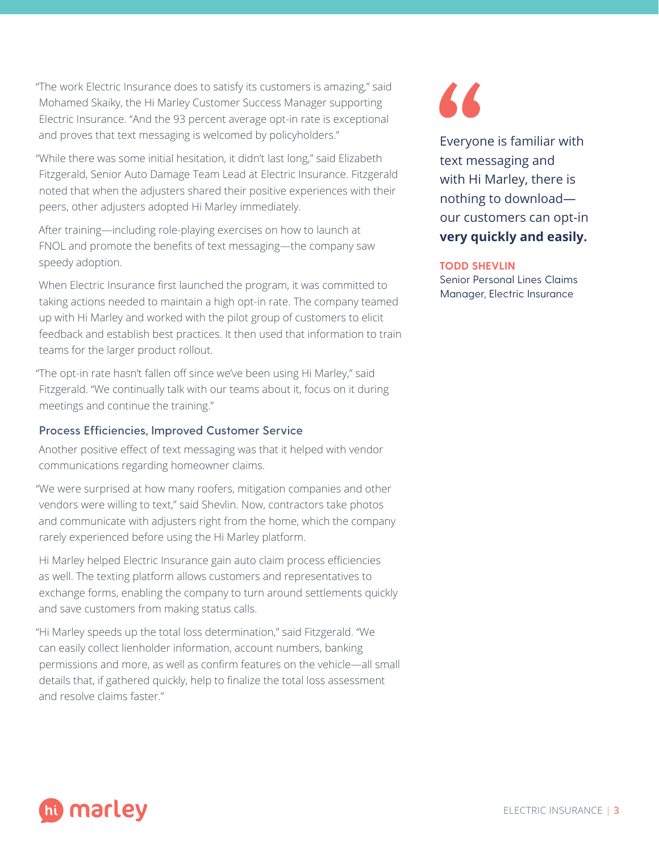"The work Electric Insurance does to satisfy its customers is amazing," said Mohamed Skaiky, the Hi Marley Customer Success Manager supporting Electric Insurance. "And the 93 percent average opt-in rate is exceptional and proves that text messaging is welcomed by policyholders."

"While there was some initial hesitation, it didn't last long," said Elizabeth Fitzgerald, Senior Auto Damage Team Lead at Electric Insurance. Fitzgerald noted that when the adjusters shared their positive experiences with their peers, other adjusters adopted Hi Marley immediately.

After training—including role-playing exercises on how to launch at FNOL and promote the benefits of text messaging—the company saw speedy adoption.

When Electric Insurance first launched the program, it was committed to taking actions needed to maintain a high opt-in rate. The company teamed up with Hi Marley and worked with the pilot group of customers to elicit feedback and establish best practices. It then used that information to train teams for the larger product rollout.

"The opt-in rate hasn't fallen off since we've been using Hi Marley," said Fitzgerald. "We continually talk with our teams about it, focus on it during meetings and continue the training."

#### **Process Efficiencies, Improved Customer Service**

Another positive effect of text messaging was that it helped with vendor communications regarding homeowner claims.

"We were surprised at how many roofers, mitigation companies and other vendors were willing to text," said Shevlin. Now, contractors take photos and communicate with adjusters right from the home, which the company rarely experienced before using the Hi Marley platform.

Hi Marley helped Electric Insurance gain auto claim process efficiencies as well. The texting platform allows customers and representatives to exchange forms, enabling the company to turn around settlements quickly and save customers from making status calls.

"Hi Marley speeds up the total loss determination," said Fitzgerald. "We can easily collect lienholder information, account numbers, banking permissions and more, as well as confirm features on the vehicle—all small details that, if gathered quickly, help to finalize the total loss assessment and resolve claims faster."



Everyone is familiar with text messaging and with Hi Marley, there is nothing to download our customers can opt-in **very quickly and easily.**

#### **TODD SHEVLIN**

Senior Personal Lines Claims Manager, Electric Insurance